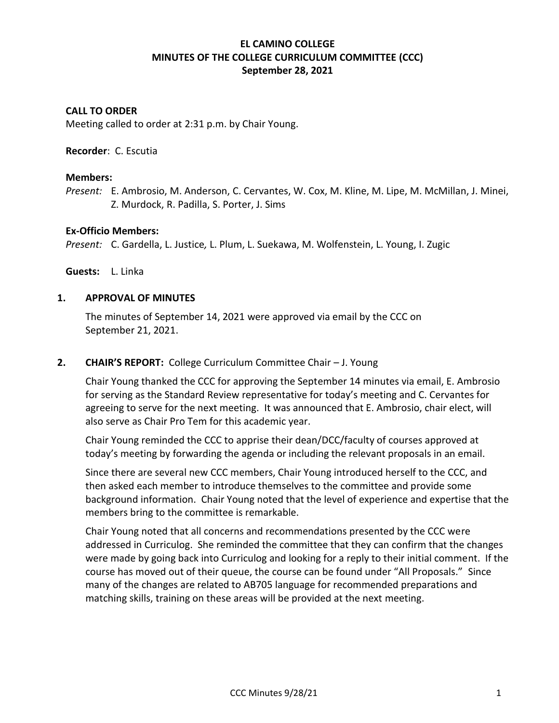# **EL CAMINO COLLEGE MINUTES OF THE COLLEGE CURRICULUM COMMITTEE (CCC) September 28, 2021**

## **CALL TO ORDER**

Meeting called to order at 2:31 p.m. by Chair Young.

#### **Recorder**: C. Escutia

#### **Members:**

*Present:* E. Ambrosio, M. Anderson, C. Cervantes, W. Cox, M. Kline, M. Lipe, M. McMillan, J. Minei, Z. Murdock, R. Padilla, S. Porter, J. Sims

#### **Ex-Officio Members:**

*Present:* C. Gardella, L. Justice*,* L. Plum, L. Suekawa, M. Wolfenstein, L. Young, I. Zugic

**Guests:** L. Linka

#### **1. APPROVAL OF MINUTES**

The minutes of September 14, 2021 were approved via email by the CCC on September 21, 2021.

## **2. CHAIR'S REPORT:** College Curriculum Committee Chair – J. Young

Chair Young thanked the CCC for approving the September 14 minutes via email, E. Ambrosio for serving as the Standard Review representative for today's meeting and C. Cervantes for agreeing to serve for the next meeting. It was announced that E. Ambrosio, chair elect, will also serve as Chair Pro Tem for this academic year.

Chair Young reminded the CCC to apprise their dean/DCC/faculty of courses approved at today's meeting by forwarding the agenda or including the relevant proposals in an email.

Since there are several new CCC members, Chair Young introduced herself to the CCC, and then asked each member to introduce themselves to the committee and provide some background information. Chair Young noted that the level of experience and expertise that the members bring to the committee is remarkable.

Chair Young noted that all concerns and recommendations presented by the CCC were addressed in Curriculog. She reminded the committee that they can confirm that the changes were made by going back into Curriculog and looking for a reply to their initial comment. If the course has moved out of their queue, the course can be found under "All Proposals." Since many of the changes are related to AB705 language for recommended preparations and matching skills, training on these areas will be provided at the next meeting.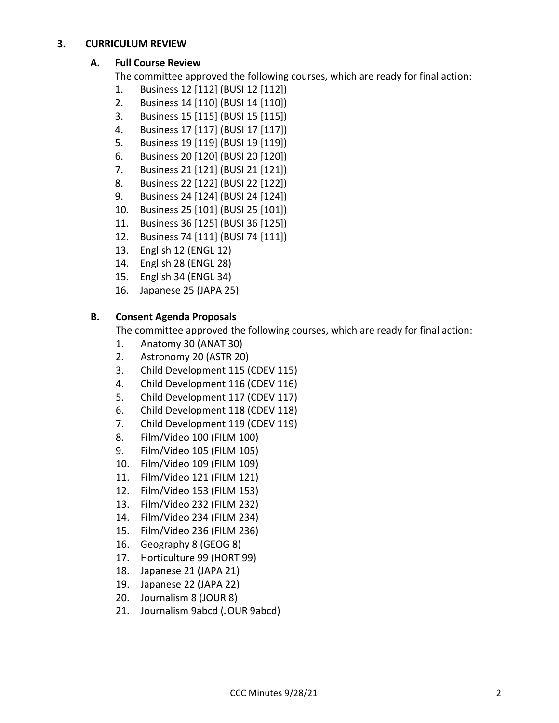## **3. CURRICULUM REVIEW**

# **A. Full Course Review**

The committee approved the following courses, which are ready for final action:

- 1. Business 12 [112] (BUSI 12 [112])
- 2. Business 14 [110] (BUSI 14 [110])
- 3. Business 15 [115] (BUSI 15 [115])
- 4. Business 17 [117] (BUSI 17 [117])
- 5. Business 19 [119] (BUSI 19 [119])
- 6. Business 20 [120] (BUSI 20 [120])
- 7. Business 21 [121] (BUSI 21 [121])
- 8. Business 22 [122] (BUSI 22 [122])
- 9. Business 24 [124] (BUSI 24 [124])
- 10. Business 25 [101] (BUSI 25 [101])
- 11. Business 36 [125] (BUSI 36 [125])
- 12. Business 74 [111] (BUSI 74 [111])
- 13. English 12 (ENGL 12)
- 14. English 28 (ENGL 28)
- 15. English 34 (ENGL 34)
- 16. Japanese 25 (JAPA 25)

# **B. Consent Agenda Proposals**

The committee approved the following courses, which are ready for final action:

- 1. Anatomy 30 (ANAT 30)
- 2. Astronomy 20 (ASTR 20)
- 3. Child Development 115 (CDEV 115)
- 4. Child Development 116 (CDEV 116)
- 5. Child Development 117 (CDEV 117)
- 6. Child Development 118 (CDEV 118)
- 7. Child Development 119 (CDEV 119)
- 8. Film/Video 100 (FILM 100)
- 9. Film/Video 105 (FILM 105)
- 10. Film/Video 109 (FILM 109)
- 11. Film/Video 121 (FILM 121)
- 12. Film/Video 153 (FILM 153)
- 13. Film/Video 232 (FILM 232)
- 14. Film/Video 234 (FILM 234)
- 15. Film/Video 236 (FILM 236)
- 16. Geography 8 (GEOG 8)
- 17. Horticulture 99 (HORT 99)
- 18. Japanese 21 (JAPA 21)
- 19. Japanese 22 (JAPA 22)
- 20. Journalism 8 (JOUR 8)
- 21. Journalism 9abcd (JOUR 9abcd)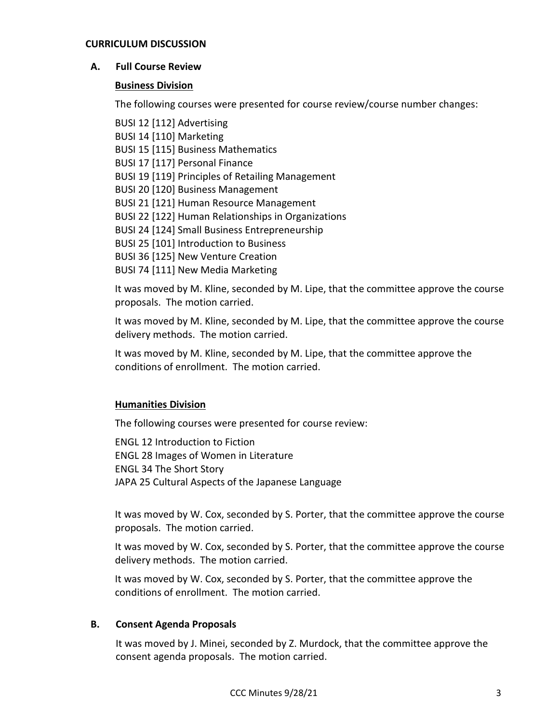#### **CURRICULUM DISCUSSION**

## **A. Full Course Review**

## **Business Division**

The following courses were presented for course review/course number changes:

BUSI 12 [112] Advertising BUSI 14 [110] Marketing BUSI 15 [115] Business Mathematics BUSI 17 [117] Personal Finance BUSI 19 [119] Principles of Retailing Management BUSI 20 [120] Business Management BUSI 21 [121] Human Resource Management BUSI 22 [122] Human Relationships in Organizations BUSI 24 [124] Small Business Entrepreneurship BUSI 25 [101] Introduction to Business BUSI 36 [125] New Venture Creation BUSI 74 [111] New Media Marketing

It was moved by M. Kline, seconded by M. Lipe, that the committee approve the course proposals. The motion carried.

It was moved by M. Kline, seconded by M. Lipe, that the committee approve the course delivery methods. The motion carried.

It was moved by M. Kline, seconded by M. Lipe, that the committee approve the conditions of enrollment. The motion carried.

## **Humanities Division**

The following courses were presented for course review:

ENGL 12 Introduction to Fiction ENGL 28 Images of Women in Literature ENGL 34 The Short Story JAPA 25 Cultural Aspects of the Japanese Language

It was moved by W. Cox, seconded by S. Porter, that the committee approve the course proposals. The motion carried.

It was moved by W. Cox, seconded by S. Porter, that the committee approve the course delivery methods. The motion carried.

It was moved by W. Cox, seconded by S. Porter, that the committee approve the conditions of enrollment. The motion carried.

#### **B. Consent Agenda Proposals**

It was moved by J. Minei, seconded by Z. Murdock, that the committee approve the consent agenda proposals. The motion carried.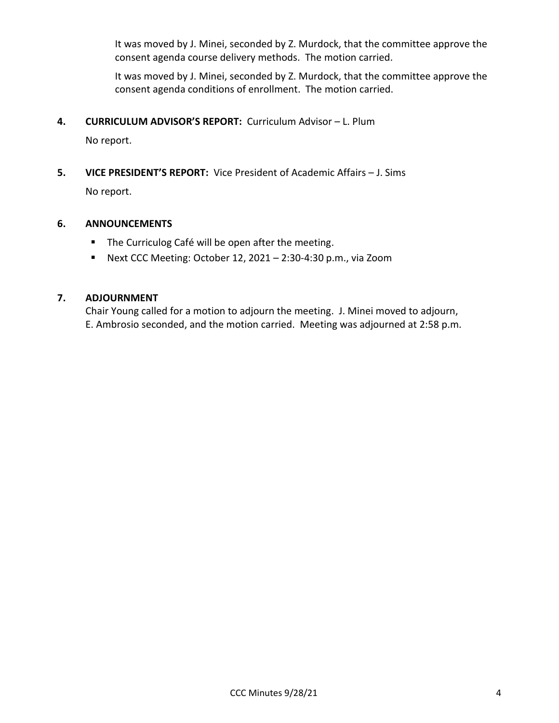It was moved by J. Minei, seconded by Z. Murdock, that the committee approve the consent agenda course delivery methods. The motion carried.

It was moved by J. Minei, seconded by Z. Murdock, that the committee approve the consent agenda conditions of enrollment. The motion carried.

**4. CURRICULUM ADVISOR'S REPORT:** Curriculum Advisor – L. Plum

No report.

**5. VICE PRESIDENT'S REPORT:** Vice President of Academic Affairs – J. Sims

No report.

# **6. ANNOUNCEMENTS**

- The Curriculog Café will be open after the meeting.
- Next CCC Meeting: October 12, 2021 2:30-4:30 p.m., via Zoom

# **7. ADJOURNMENT**

Chair Young called for a motion to adjourn the meeting. J. Minei moved to adjourn, E. Ambrosio seconded, and the motion carried. Meeting was adjourned at 2:58 p.m.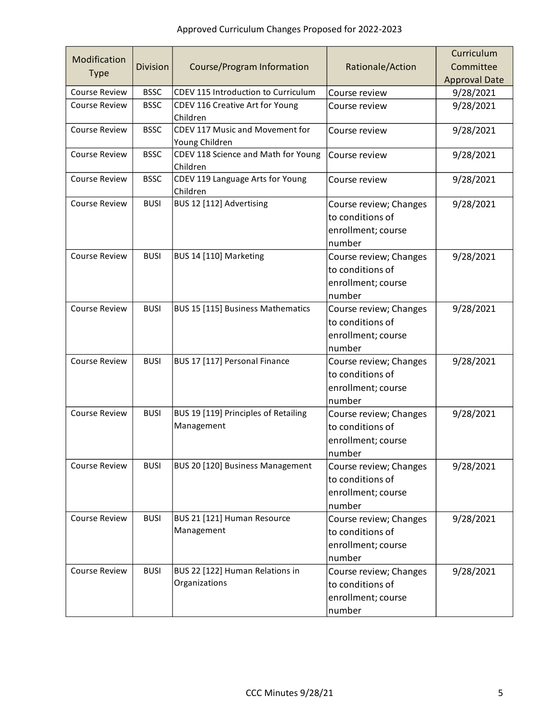| Modification<br><b>Type</b> | <b>Division</b> | Course/Program Information                         | Rationale/Action                                                           | Curriculum<br>Committee<br><b>Approval Date</b> |
|-----------------------------|-----------------|----------------------------------------------------|----------------------------------------------------------------------------|-------------------------------------------------|
| <b>Course Review</b>        | <b>BSSC</b>     | CDEV 115 Introduction to Curriculum                | Course review                                                              | 9/28/2021                                       |
| <b>Course Review</b>        | <b>BSSC</b>     | CDEV 116 Creative Art for Young<br>Children        | Course review                                                              | 9/28/2021                                       |
| <b>Course Review</b>        | <b>BSSC</b>     | CDEV 117 Music and Movement for<br>Young Children  | Course review                                                              | 9/28/2021                                       |
| <b>Course Review</b>        | <b>BSSC</b>     | CDEV 118 Science and Math for Young<br>Children    | Course review                                                              | 9/28/2021                                       |
| <b>Course Review</b>        | <b>BSSC</b>     | CDEV 119 Language Arts for Young<br>Children       | Course review                                                              | 9/28/2021                                       |
| <b>Course Review</b>        | <b>BUSI</b>     | BUS 12 [112] Advertising                           | Course review; Changes<br>to conditions of<br>enrollment; course<br>number | 9/28/2021                                       |
| <b>Course Review</b>        | <b>BUSI</b>     | BUS 14 [110] Marketing                             | Course review; Changes<br>to conditions of<br>enrollment; course<br>number | 9/28/2021                                       |
| <b>Course Review</b>        | <b>BUSI</b>     | BUS 15 [115] Business Mathematics                  | Course review; Changes<br>to conditions of<br>enrollment; course<br>number | 9/28/2021                                       |
| Course Review               | <b>BUSI</b>     | BUS 17 [117] Personal Finance                      | Course review; Changes<br>to conditions of<br>enrollment; course<br>number | 9/28/2021                                       |
| <b>Course Review</b>        | <b>BUSI</b>     | BUS 19 [119] Principles of Retailing<br>Management | Course review; Changes<br>to conditions of<br>enrollment; course<br>number | 9/28/2021                                       |
| Course Review               | <b>BUSI</b>     | BUS 20 [120] Business Management                   | Course review; Changes<br>to conditions of<br>enrollment; course<br>number | 9/28/2021                                       |
| <b>Course Review</b>        | <b>BUSI</b>     | BUS 21 [121] Human Resource<br>Management          | Course review; Changes<br>to conditions of<br>enrollment; course<br>number | 9/28/2021                                       |
| Course Review               | <b>BUSI</b>     | BUS 22 [122] Human Relations in<br>Organizations   | Course review; Changes<br>to conditions of<br>enrollment; course<br>number | 9/28/2021                                       |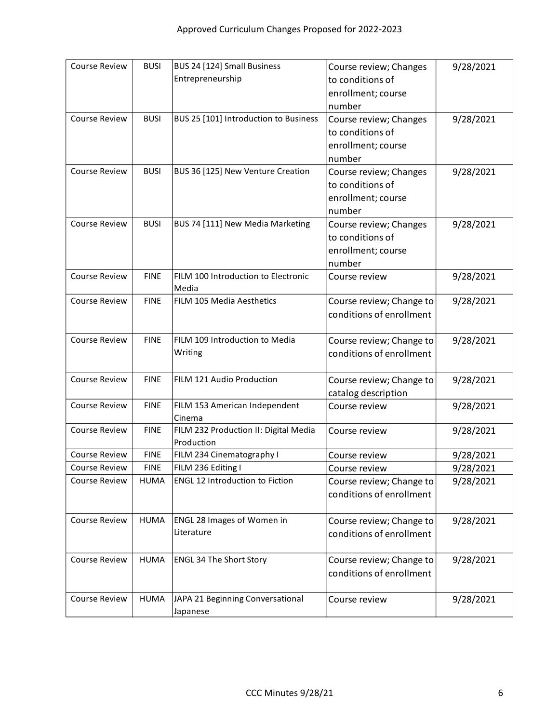| <b>Course Review</b> | <b>BUSI</b> | BUS 24 [124] Small Business            | Course review; Changes                     | 9/28/2021 |
|----------------------|-------------|----------------------------------------|--------------------------------------------|-----------|
|                      |             | Entrepreneurship                       | to conditions of                           |           |
|                      |             |                                        | enrollment; course                         |           |
|                      |             |                                        | number                                     |           |
| <b>Course Review</b> | <b>BUSI</b> | BUS 25 [101] Introduction to Business  | Course review; Changes                     | 9/28/2021 |
|                      |             |                                        | to conditions of                           |           |
|                      |             |                                        | enrollment; course                         |           |
|                      |             |                                        | number                                     |           |
| <b>Course Review</b> | <b>BUSI</b> | BUS 36 [125] New Venture Creation      | Course review; Changes                     | 9/28/2021 |
|                      |             |                                        | to conditions of                           |           |
|                      |             |                                        |                                            |           |
|                      |             |                                        | enrollment; course<br>number               |           |
| <b>Course Review</b> | <b>BUSI</b> | BUS 74 [111] New Media Marketing       |                                            |           |
|                      |             |                                        | Course review; Changes<br>to conditions of | 9/28/2021 |
|                      |             |                                        |                                            |           |
|                      |             |                                        | enrollment; course                         |           |
|                      |             | FILM 100 Introduction to Electronic    | number                                     |           |
| <b>Course Review</b> | <b>FINE</b> | Media                                  | Course review                              | 9/28/2021 |
| <b>Course Review</b> | <b>FINE</b> | FILM 105 Media Aesthetics              | Course review; Change to                   | 9/28/2021 |
|                      |             |                                        | conditions of enrollment                   |           |
|                      |             |                                        |                                            |           |
| <b>Course Review</b> | <b>FINE</b> | FILM 109 Introduction to Media         | Course review; Change to                   | 9/28/2021 |
|                      |             | Writing                                | conditions of enrollment                   |           |
|                      |             |                                        |                                            |           |
| <b>Course Review</b> | <b>FINE</b> | FILM 121 Audio Production              | Course review; Change to                   | 9/28/2021 |
|                      |             |                                        | catalog description                        |           |
| <b>Course Review</b> | <b>FINE</b> | FILM 153 American Independent          | Course review                              | 9/28/2021 |
|                      |             | Cinema                                 |                                            |           |
| <b>Course Review</b> | <b>FINE</b> | FILM 232 Production II: Digital Media  | Course review                              | 9/28/2021 |
|                      |             | Production                             |                                            |           |
| <b>Course Review</b> | <b>FINE</b> | FILM 234 Cinematography I              | Course review                              | 9/28/2021 |
| Course Review        | <b>FINE</b> | FILM 236 Editing I                     | Course review                              | 9/28/2021 |
| <b>Course Review</b> | <b>HUMA</b> | <b>ENGL 12 Introduction to Fiction</b> | Course review; Change to                   | 9/28/2021 |
|                      |             |                                        | conditions of enrollment                   |           |
|                      |             |                                        |                                            |           |
| Course Review        | <b>HUMA</b> | <b>ENGL 28 Images of Women in</b>      | Course review; Change to                   | 9/28/2021 |
|                      |             | Literature                             | conditions of enrollment                   |           |
|                      |             |                                        |                                            |           |
| <b>Course Review</b> | <b>HUMA</b> | <b>ENGL 34 The Short Story</b>         | Course review; Change to                   | 9/28/2021 |
|                      |             |                                        | conditions of enrollment                   |           |
|                      |             |                                        |                                            |           |
| <b>Course Review</b> | <b>HUMA</b> | JAPA 21 Beginning Conversational       | Course review                              | 9/28/2021 |
|                      |             | Japanese                               |                                            |           |